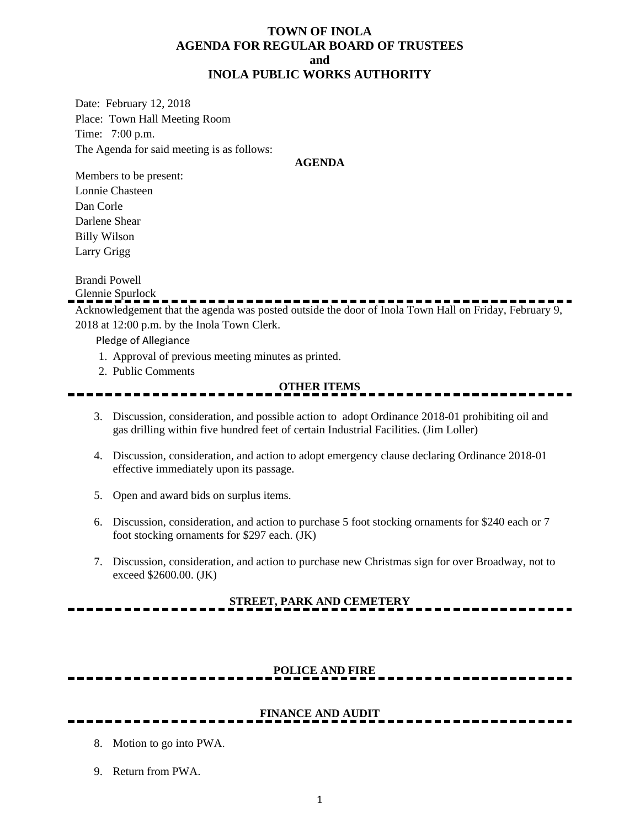### **TOWN OF INOLA AGENDA FOR REGULAR BOARD OF TRUSTEES and INOLA PUBLIC WORKS AUTHORITY**

Date: February 12, 2018 Place: Town Hall Meeting Room Time: 7:00 p.m. The Agenda for said meeting is as follows:

#### **AGENDA**

Members to be present: Lonnie Chasteen Dan Corle Darlene Shear Billy Wilson Larry Grigg

Brandi Powell

Glennie Spurlock

Acknowledgement that the agenda was posted outside the door of Inola Town Hall on Friday, February 9, 2018 at 12:00 p.m. by the Inola Town Clerk.

Pledge of Allegiance

- 1. Approval of previous meeting minutes as printed.
- 2. Public Comments

#### **OTHER ITEMS**

- 3. Discussion, consideration, and possible action to adopt Ordinance 2018-01 prohibiting oil and gas drilling within five hundred feet of certain Industrial Facilities. (Jim Loller)
- 4. Discussion, consideration, and action to adopt emergency clause declaring Ordinance 2018-01 effective immediately upon its passage.
- 5. Open and award bids on surplus items.
- 6. Discussion, consideration, and action to purchase 5 foot stocking ornaments for \$240 each or 7 foot stocking ornaments for \$297 each. (JK)
- 7. Discussion, consideration, and action to purchase new Christmas sign for over Broadway, not to exceed \$2600.00. (JK)

## **STREET, PARK AND CEMETERY**

## **POLICE AND FIRE**

## **FINANCE AND AUDIT**

- 8. Motion to go into PWA.
- 9. Return from PWA.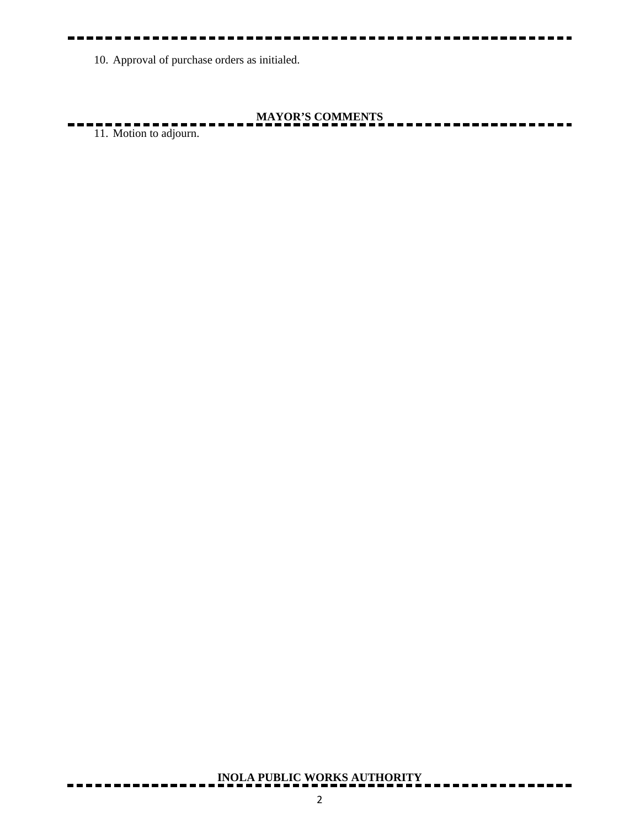10. Approval of purchase orders as initialed.

# **MAYOR'S COMMENTS**

11. Motion to adjourn.

# **INOLA PUBLIC WORKS AUTHORITY**